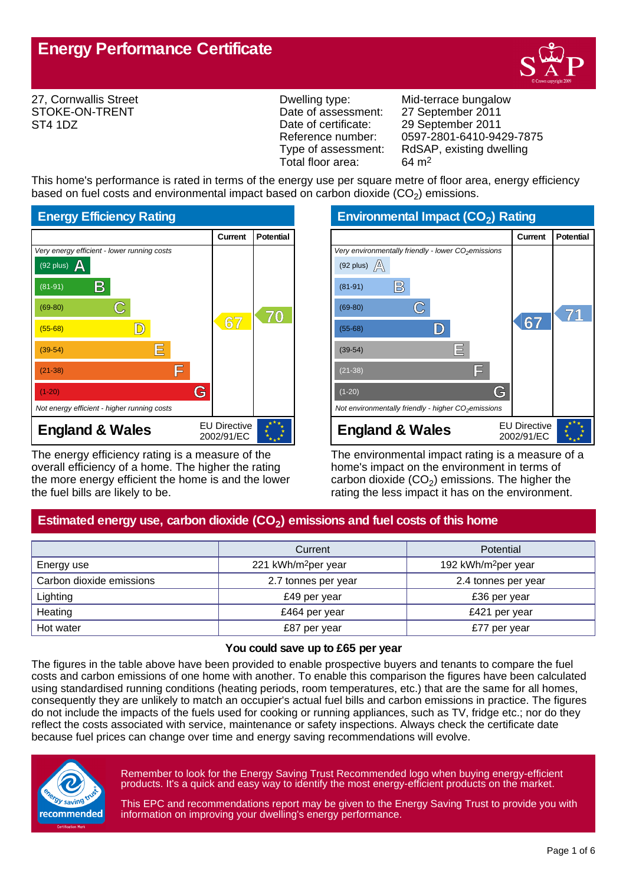

27, Cornwallis Street STOKE-ON-TRENT ST4 1DZ

Date of assessment: 27 September 2011<br>Date of certificate: 29 September 2011 Date of certificate: 29 September 2011<br>Reference number: 0597-2801-6410-94 Total floor area:

Dwelling type: Mid-terrace bungalow Reference number: 0597-2801-6410-9429-7875<br>Type of assessment: RdSAP, existing dwelling RdSAP, existing dwelling<br> $64 \text{ m}^2$ 

This home's performance is rated in terms of the energy use per square metre of floor area, energy efficiency based on fuel costs and environmental impact based on carbon dioxide (CO<sub>2</sub>) emissions.



The energy efficiency rating is a measure of the overall efficiency of a home. The higher the rating the more energy efficient the home is and the lower the fuel bills are likely to be.

**Environmental Impact (CO<sup>2</sup> ) Rating**

|                                                                 | Current                           | <b>Potential</b> |
|-----------------------------------------------------------------|-----------------------------------|------------------|
| Very environmentally friendly - lower CO <sub>2</sub> emissions |                                   |                  |
| (92 plus) $\mathbb{A}$                                          |                                   |                  |
| B<br>$(81-91)$                                                  |                                   |                  |
| $(69-80)$                                                       |                                   |                  |
| $(55-68)$                                                       | $\circledast$                     |                  |
| 巨<br>$(39-54)$                                                  |                                   |                  |
| IΞ<br>$(21-38)$                                                 |                                   |                  |
| G<br>$(1-20)$                                                   |                                   |                  |
| Not environmentally friendly - higher $CO2$ emissions           |                                   |                  |
| <b>England &amp; Wales</b>                                      | <b>EU Directive</b><br>2002/91/EC |                  |

The environmental impact rating is a measure of a home's impact on the environment in terms of carbon dioxide (CO<sub>2</sub>) emissions. The higher the rating the less impact it has on the environment.

# **Estimated energy use, carbon dioxide (CO<sup>2</sup> ) emissions and fuel costs of this home**

|                          | Current                         | Potential                       |
|--------------------------|---------------------------------|---------------------------------|
| Energy use               | 221 kWh/m <sup>2</sup> per year | 192 kWh/m <sup>2</sup> per year |
| Carbon dioxide emissions | 2.7 tonnes per year             | 2.4 tonnes per year             |
| Lighting                 | £49 per year                    | £36 per year                    |
| Heating                  | £464 per year                   | £421 per year                   |
| Hot water                | £87 per year                    | £77 per year                    |

### **You could save up to £65 per year**

The figures in the table above have been provided to enable prospective buyers and tenants to compare the fuel costs and carbon emissions of one home with another. To enable this comparison the figures have been calculated using standardised running conditions (heating periods, room temperatures, etc.) that are the same for all homes, consequently they are unlikely to match an occupier's actual fuel bills and carbon emissions in practice. The figures do not include the impacts of the fuels used for cooking or running appliances, such as TV, fridge etc.; nor do they reflect the costs associated with service, maintenance or safety inspections. Always check the certificate date because fuel prices can change over time and energy saving recommendations will evolve.



Remember to look for the Energy Saving Trust Recommended logo when buying energy-efficient products. It's a quick and easy way to identify the most energy-efficient products on the market.

This EPC and recommendations report may be given to the Energy Saving Trust to provide you with information on improving your dwelling's energy performance.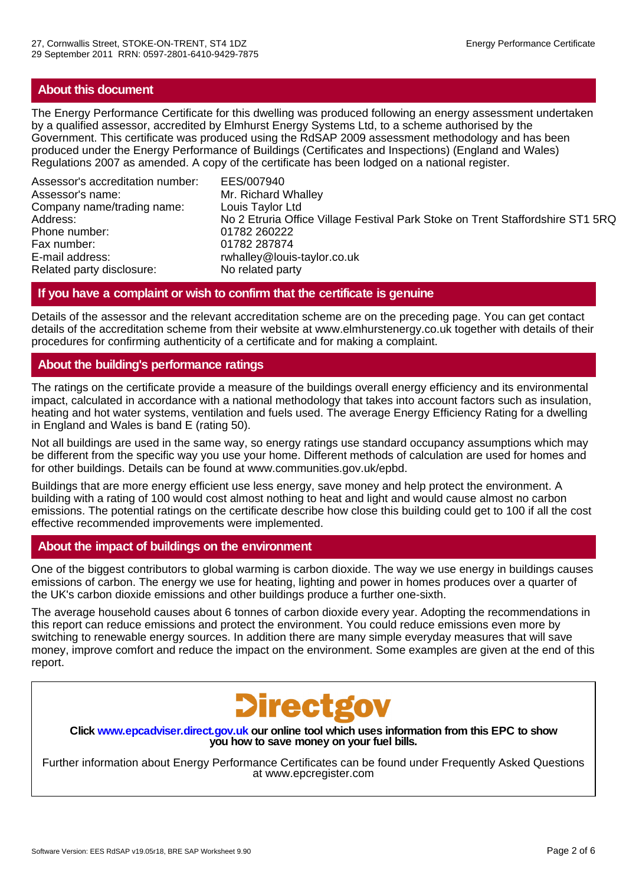# **About this document**

The Energy Performance Certificate for this dwelling was produced following an energy assessment undertaken by a qualified assessor, accredited by Elmhurst Energy Systems Ltd, to a scheme authorised by the Government. This certificate was produced using the RdSAP 2009 assessment methodology and has been produced under the Energy Performance of Buildings (Certificates and Inspections) (England and Wales) Regulations 2007 as amended. A copy of the certificate has been lodged on a national register.

Assessor's accreditation number: EES/007940 Assessor's name: Mr. Richard Whalley Company name/trading name: Louis Taylor Ltd Phone number: 01782 260222 Fax number: 01782 287874 E-mail address: rwhalley@louis-taylor.co.uk<br>Related party disclosure: No related party Related party disclosure:

No 2 Etruria Office Village Festival Park Stoke on Trent Staffordshire ST1 5RQ

# **If you have a complaint or wish to confirm that the certificate is genuine**

Details of the assessor and the relevant accreditation scheme are on the preceding page. You can get contact details of the accreditation scheme from their website at www.elmhurstenergy.co.uk together with details of their procedures for confirming authenticity of a certificate and for making a complaint.

# **About the building's performance ratings**

The ratings on the certificate provide a measure of the buildings overall energy efficiency and its environmental impact, calculated in accordance with a national methodology that takes into account factors such as insulation, heating and hot water systems, ventilation and fuels used. The average Energy Efficiency Rating for a dwelling in England and Wales is band E (rating 50).

Not all buildings are used in the same way, so energy ratings use standard occupancy assumptions which may be different from the specific way you use your home. Different methods of calculation are used for homes and for other buildings. Details can be found at www.communities.gov.uk/epbd.

Buildings that are more energy efficient use less energy, save money and help protect the environment. A building with a rating of 100 would cost almost nothing to heat and light and would cause almost no carbon emissions. The potential ratings on the certificate describe how close this building could get to 100 if all the cost effective recommended improvements were implemented.

### **About the impact of buildings on the environment**

One of the biggest contributors to global warming is carbon dioxide. The way we use energy in buildings causes emissions of carbon. The energy we use for heating, lighting and power in homes produces over a quarter of the UK's carbon dioxide emissions and other buildings produce a further one-sixth.

The average household causes about 6 tonnes of carbon dioxide every year. Adopting the recommendations in this report can reduce emissions and protect the environment. You could reduce emissions even more by switching to renewable energy sources. In addition there are many simple everyday measures that will save money, improve comfort and reduce the impact on the environment. Some examples are given at the end of this report.



**Click www.epcadviser.direct.gov.uk our online tool which uses information from this EPC to show you how to save money on your fuel bills.**

Further information about Energy Performance Certificates can be found under Frequently Asked Questions at www.epcregister.com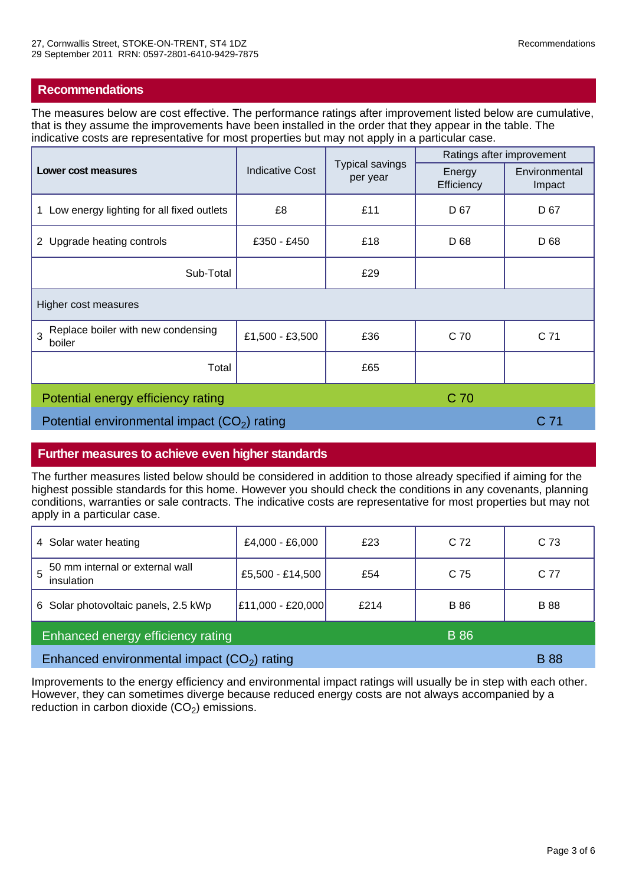### **Recommendations**

The measures below are cost effective. The performance ratings after improvement listed below are cumulative, that is they assume the improvements have been installed in the order that they appear in the table. The indicative costs are representative for most properties but may not apply in a particular case.

| Lower cost measures                               | <b>Typical savings</b><br><b>Indicative Cost</b><br>per year |                      | Ratings after improvement |                 |
|---------------------------------------------------|--------------------------------------------------------------|----------------------|---------------------------|-----------------|
|                                                   |                                                              | Energy<br>Efficiency | Environmental<br>Impact   |                 |
| Low energy lighting for all fixed outlets<br>1    | £8                                                           | £11                  | D <sub>67</sub>           | D 67            |
| 2 Upgrade heating controls                        | £350 - £450                                                  | £18                  | D 68                      | D 68            |
| Sub-Total                                         |                                                              | £29                  |                           |                 |
| Higher cost measures                              |                                                              |                      |                           |                 |
| Replace boiler with new condensing<br>3<br>boiler | £1,500 - £3,500                                              | £36                  | C 70                      | C <sub>71</sub> |
| Total                                             |                                                              | £65                  |                           |                 |
| C 70<br>Potential energy efficiency rating        |                                                              |                      |                           |                 |
| Potential environmental impact $(CO2)$ rating     |                                                              |                      | C <sub>71</sub>           |                 |

### **Further measures to achieve even higher standards**

The further measures listed below should be considered in addition to those already specified if aiming for the highest possible standards for this home. However you should check the conditions in any covenants, planning conditions, warranties or sale contracts. The indicative costs are representative for most properties but may not apply in a particular case.

| 4 Solar water heating                              | £4,000 - £6,000   | £23  | C 72        | C <sub>73</sub> |
|----------------------------------------------------|-------------------|------|-------------|-----------------|
| 50 mm internal or external wall<br>5<br>insulation | £5,500 - £14,500  | £54  | C 75        | C 77            |
| 6 Solar photovoltaic panels, 2.5 kWp               | £11,000 - £20,000 | £214 | <b>B</b> 86 | <b>B</b> 88     |
| Enhanced energy efficiency rating<br><b>B</b> 86   |                   |      |             |                 |
| Enhanced environmental impact $(CO2)$ rating       |                   |      | <b>B</b> 88 |                 |

Improvements to the energy efficiency and environmental impact ratings will usually be in step with each other. However, they can sometimes diverge because reduced energy costs are not always accompanied by a reduction in carbon dioxide  $(CO<sub>2</sub>)$  emissions.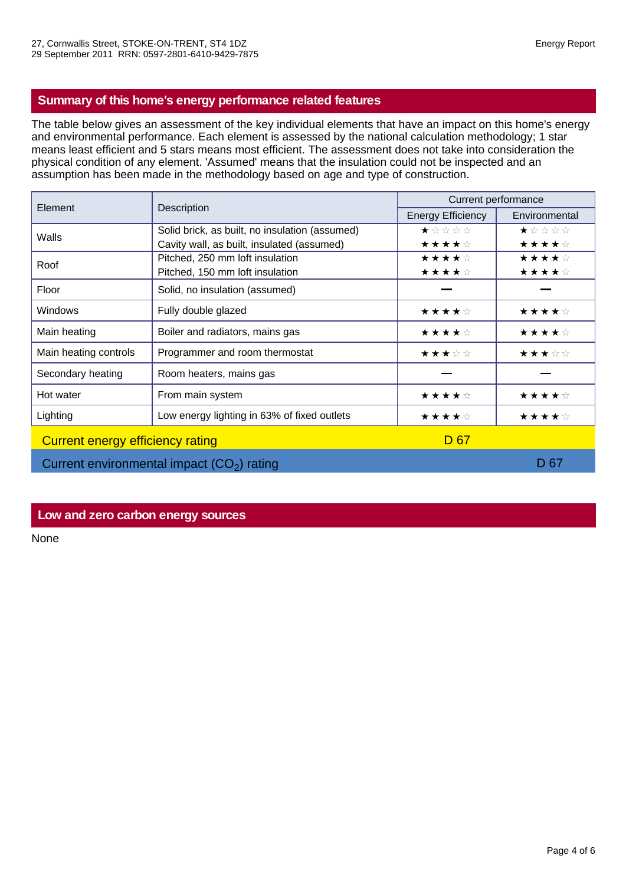# **Summary of this home's energy performance related features**

The table below gives an assessment of the key individual elements that have an impact on this home's energy and environmental performance. Each element is assessed by the national calculation methodology; 1 star means least efficient and 5 stars means most efficient. The assessment does not take into consideration the physical condition of any element. 'Assumed' means that the insulation could not be inspected and an assumption has been made in the methodology based on age and type of construction.

| Element                                     | Description                                    | Current performance      |               |  |
|---------------------------------------------|------------------------------------------------|--------------------------|---------------|--|
|                                             |                                                | <b>Energy Efficiency</b> | Environmental |  |
| Walls                                       | Solid brick, as built, no insulation (assumed) | ★☆☆☆☆                    | ★☆☆☆☆         |  |
|                                             | Cavity wall, as built, insulated (assumed)     | ★★★★☆                    | ★★★★☆         |  |
| Roof                                        | Pitched, 250 mm loft insulation                | ★★★★☆                    | ★★★★☆         |  |
|                                             | Pitched, 150 mm loft insulation                | ★★★★☆                    | ★★★★☆         |  |
| Floor                                       | Solid, no insulation (assumed)                 |                          |               |  |
| Windows                                     | Fully double glazed                            | ★★★★☆                    | ★★★★☆         |  |
| Main heating                                | Boiler and radiators, mains gas                | ★★★★☆                    | ★★★★☆         |  |
| Main heating controls                       | Programmer and room thermostat                 | ★★★☆☆                    | ★★★☆☆         |  |
| Secondary heating                           | Room heaters, mains gas                        |                          |               |  |
| Hot water                                   | From main system                               | ★★★★☆                    | ★★★★☆         |  |
| Lighting                                    | Low energy lighting in 63% of fixed outlets    | ★★★★☆                    | ★★★★☆         |  |
| <b>Current energy efficiency rating</b>     |                                                | D <sub>67</sub>          |               |  |
| Current environmental impact $(CO2)$ rating |                                                | D 67                     |               |  |

### **Low and zero carbon energy sources**

None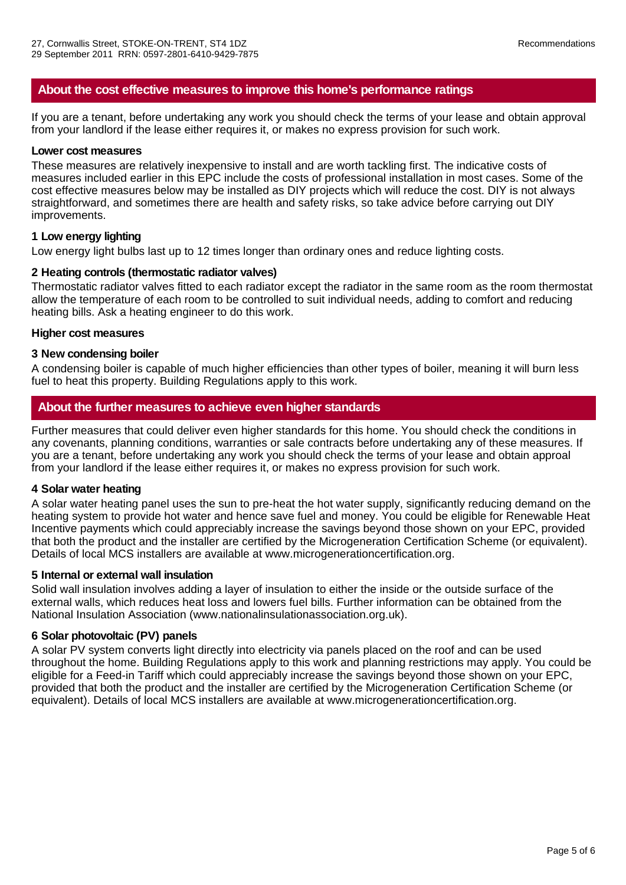### **About the cost effective measures to improve this home's performance ratings**

If you are a tenant, before undertaking any work you should check the terms of your lease and obtain approval from your landlord if the lease either requires it, or makes no express provision for such work.

#### **Lower cost measures**

These measures are relatively inexpensive to install and are worth tackling first. The indicative costs of measures included earlier in this EPC include the costs of professional installation in most cases. Some of the cost effective measures below may be installed as DIY projects which will reduce the cost. DIY is not always straightforward, and sometimes there are health and safety risks, so take advice before carrying out DIY improvements.

#### **1 Low energy lighting**

Low energy light bulbs last up to 12 times longer than ordinary ones and reduce lighting costs.

### **2 Heating controls (thermostatic radiator valves)**

Thermostatic radiator valves fitted to each radiator except the radiator in the same room as the room thermostat allow the temperature of each room to be controlled to suit individual needs, adding to comfort and reducing heating bills. Ask a heating engineer to do this work.

#### **Higher cost measures**

#### **3 New condensing boiler**

A condensing boiler is capable of much higher efficiencies than other types of boiler, meaning it will burn less fuel to heat this property. Building Regulations apply to this work.

### **About the further measures to achieve even higher standards**

Further measures that could deliver even higher standards for this home. You should check the conditions in any covenants, planning conditions, warranties or sale contracts before undertaking any of these measures. If you are a tenant, before undertaking any work you should check the terms of your lease and obtain approal from your landlord if the lease either requires it, or makes no express provision for such work.

#### **4 Solar water heating**

A solar water heating panel uses the sun to pre-heat the hot water supply, significantly reducing demand on the heating system to provide hot water and hence save fuel and money. You could be eligible for Renewable Heat Incentive payments which could appreciably increase the savings beyond those shown on your EPC, provided that both the product and the installer are certified by the Microgeneration Certification Scheme (or equivalent). Details of local MCS installers are available at www.microgenerationcertification.org.

#### **5 Internal or external wall insulation**

Solid wall insulation involves adding a layer of insulation to either the inside or the outside surface of the external walls, which reduces heat loss and lowers fuel bills. Further information can be obtained from the National Insulation Association (www.nationalinsulationassociation.org.uk).

#### **6 Solar photovoltaic (PV) panels**

A solar PV system converts light directly into electricity via panels placed on the roof and can be used throughout the home. Building Regulations apply to this work and planning restrictions may apply. You could be eligible for a Feed-in Tariff which could appreciably increase the savings beyond those shown on your EPC, provided that both the product and the installer are certified by the Microgeneration Certification Scheme (or equivalent). Details of local MCS installers are available at www.microgenerationcertification.org.